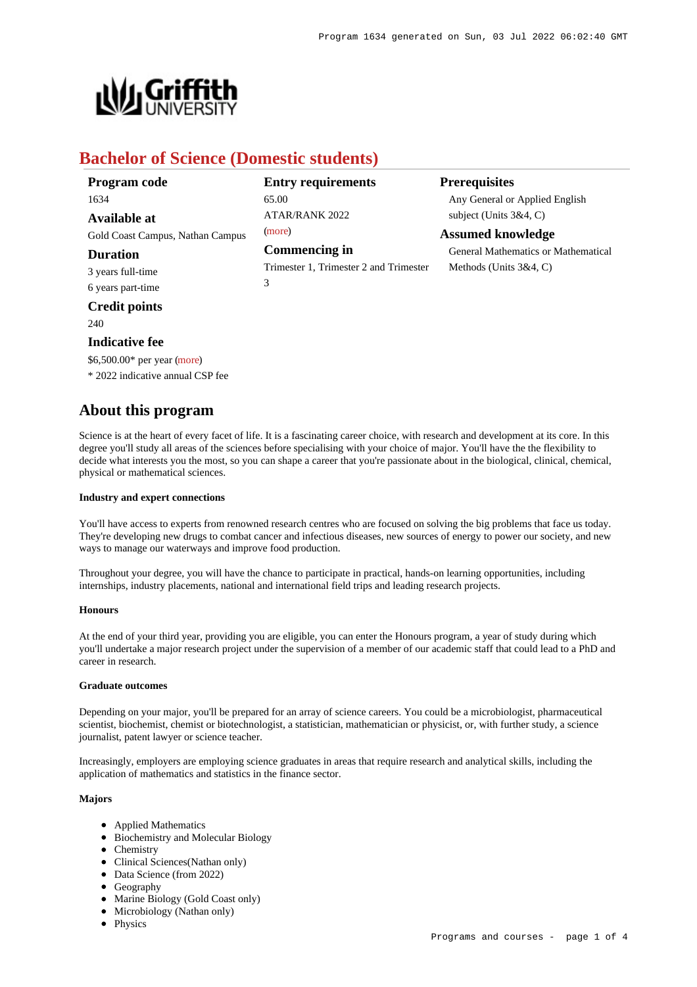

# **Bachelor of Science (Domestic students)**

| Program code                     | <b>Entry requirements</b>                   | <b>Prerequisites</b>                       |
|----------------------------------|---------------------------------------------|--------------------------------------------|
| 1634                             | 65.00                                       | Any General or Applied English             |
| Available at                     | ATAR/RANK 2022                              | subject (Units $3&4, C$ )                  |
| Gold Coast Campus, Nathan Campus | (more)                                      | <b>Assumed knowledge</b>                   |
| <b>Duration</b>                  | <b>Commencing in</b>                        | <b>General Mathematics or Mathematical</b> |
| 3 years full-time                | Trimester 1, Trimester 2 and Trimester<br>3 | Methods (Units $3&4, C$ )                  |
| 6 years part-time                |                                             |                                            |
| <b>Credit points</b>             |                                             |                                            |
| 240                              |                                             |                                            |

## **Indicative fee**

\$6,500.00\* per year [\(more](https://www148.griffith.edu.au/programs-courses/Program/1634/Overview/Domestic#fees))

\* 2022 indicative annual CSP fee

# **About this program**

Science is at the heart of every facet of life. It is a fascinating career choice, with research and development at its core. In this degree you'll study all areas of the sciences before specialising with your choice of major. You'll have the the flexibility to decide what interests you the most, so you can shape a career that you're passionate about in the biological, clinical, chemical, physical or mathematical sciences.

#### **Industry and expert connections**

You'll have access to experts from renowned research centres who are focused on solving the big problems that face us today. They're developing new drugs to combat cancer and infectious diseases, new sources of energy to power our society, and new ways to manage our waterways and improve food production.

Throughout your degree, you will have the chance to participate in practical, hands-on learning opportunities, including internships, industry placements, national and international field trips and leading research projects.

### **Honours**

At the end of your third year, providing you are eligible, you can enter the Honours program, a year of study during which you'll undertake a major research project under the supervision of a member of our academic staff that could lead to a PhD and career in research.

#### **Graduate outcomes**

Depending on your major, you'll be prepared for an array of science careers. You could be a microbiologist, pharmaceutical scientist, biochemist, chemist or biotechnologist, a statistician, mathematician or physicist, or, with further study, a science journalist, patent lawyer or science teacher.

Increasingly, employers are employing science graduates in areas that require research and analytical skills, including the application of mathematics and statistics in the finance sector.

### **Majors**

- Applied Mathematics
- Biochemistry and Molecular Biology
- Chemistry
- Clinical Sciences(Nathan only)
- Data Science (from 2022)
- Geography
- Marine Biology (Gold Coast only)
- Microbiology (Nathan only)
- Physics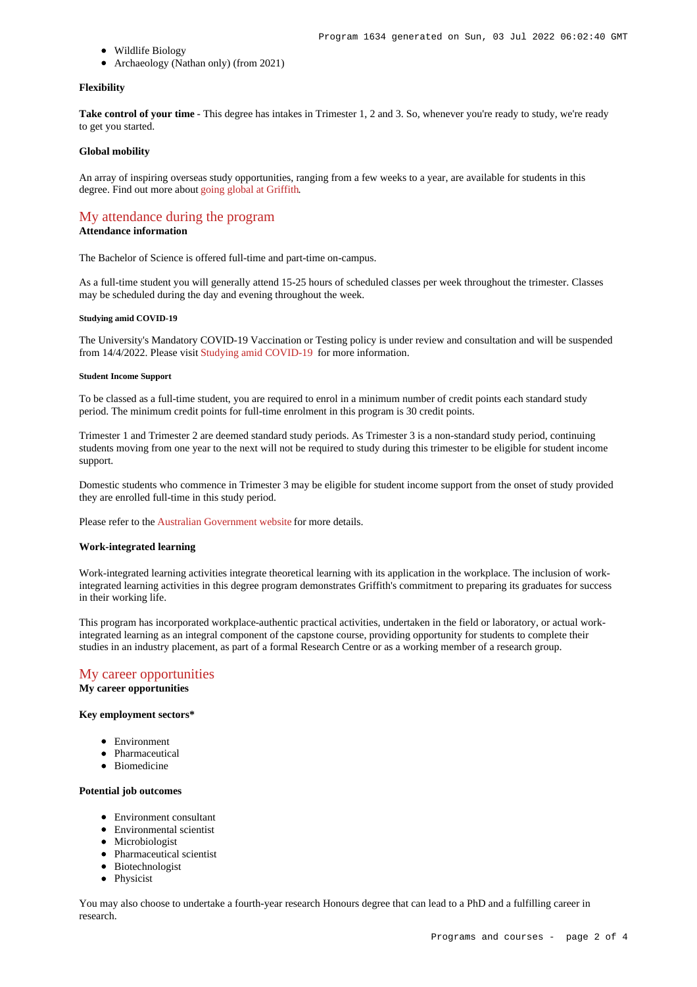- Wildlife Biology
- Archaeology (Nathan only) (from 2021)

#### **Flexibility**

Take control of your time - This degree has intakes in Trimester 1, 2 and 3. So, whenever you're ready to study, we're ready to get you started.

#### **Global mobility**

An array of inspiring overseas study opportunities, ranging from a few weeks to a year, are available for students in this degree. Find out more about [going global at Griffith](https://www.griffith.edu.au/go-global).

## [My attendance during the program](https://www148.griffith.edu.au/programs-courses/Program/1634/Overview/#attendance)

## **Attendance information**

The Bachelor of Science is offered full-time and part-time on-campus.

As a full-time student you will generally attend 15-25 hours of scheduled classes per week throughout the trimester. Classes may be scheduled during the day and evening throughout the week.

#### **Studying amid COVID-19**

The University's Mandatory COVID-19 Vaccination or Testing policy is under review and consultation and will be suspended from 14/4/2022. Please visit [Studying amid COVID-19](https://www.griffith.edu.au/coronavirus/studying-amid-covid-19) for more information.

#### **Student Income Support**

To be classed as a full-time student, you are required to enrol in a minimum number of credit points each standard study period. The minimum credit points for full-time enrolment in this program is 30 credit points.

Trimester 1 and Trimester 2 are deemed standard study periods. As Trimester 3 is a non-standard study period, continuing students moving from one year to the next will not be required to study during this trimester to be eligible for student income support.

Domestic students who commence in Trimester 3 may be eligible for student income support from the onset of study provided they are enrolled full-time in this study period.

Please refer to the [Australian Government website](https://www.humanservices.gov.au/customer/dhs/centrelink) for more details.

#### **Work-integrated learning**

Work-integrated learning activities integrate theoretical learning with its application in the workplace. The inclusion of workintegrated learning activities in this degree program demonstrates Griffith's commitment to preparing its graduates for success in their working life.

This program has incorporated workplace-authentic practical activities, undertaken in the field or laboratory, or actual workintegrated learning as an integral component of the capstone course, providing opportunity for students to complete their studies in an industry placement, as part of a formal Research Centre or as a working member of a research group.

## [My career opportunities](https://www148.griffith.edu.au/programs-courses/Program/1634/Overview/#opportunities)

**My career opportunities**

#### **Key employment sectors\***

- **•** Environment
- Pharmaceutical
- Biomedicine

#### **Potential job outcomes**

- Environment consultant
- Environmental scientist
- Microbiologist
- Pharmaceutical scientist
- Biotechnologist
- Physicist

You may also choose to undertake a fourth-year research Honours degree that can lead to a PhD and a fulfilling career in research.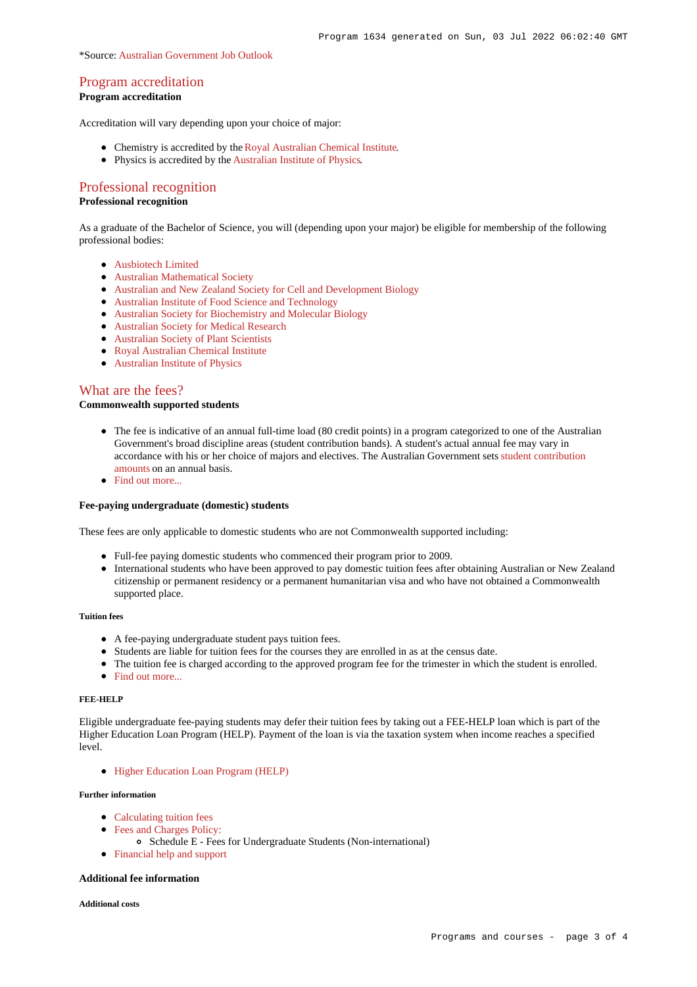## [Program accreditation](https://www148.griffith.edu.au/programs-courses/Program/1634/Overview/#accreditation)

## **Program accreditation**

Accreditation will vary depending upon your choice of major:

- Chemistry is accredited by the [Royal Australian Chemical Institute](https://www.raci.org.au/).
- Physics is accredited by the [Australian Institute of Physics](http://www.aip.org.au/info/).

# [Professional recognition](https://www148.griffith.edu.au/programs-courses/Program/1634/Overview/#recognition)

## **Professional recognition**

As a graduate of the Bachelor of Science, you will (depending upon your major) be eligible for membership of the following professional bodies:

- **Aushiotech Limited**
- [Australian Mathematical Society](http://www.austms.org.au/)
- [Australian and New Zealand Society for Cell and Development Biology](http://www.anzscdb.org/)
- [Australian Institute of Food Science and Technology](http://www.aifst.asn.au/)
- [Australian Society for Biochemistry and Molecular Biology](https://www.asbmb.org.au/)
- [Australian Society for Medical Research](http://www.asmr.org.au/)
- [Australian Society of Plant Scientists](http://www.asps.org.au/)
- [Royal Australian Chemical Institute](https://www.raci.org.au/)
- [Australian Institute of Physics](http://www.aip.org.au/info/)

## [What are the fees?](https://www148.griffith.edu.au/programs-courses/Program/1634/Overview/#fees)

## **Commonwealth supported students**

- The fee is indicative of an annual full-time load (80 credit points) in a program categorized to one of the Australian Government's broad discipline areas (student contribution bands). A student's actual annual fee may vary in accordance with his or her choice of majors and electives. The Australian Government sets [student contribution](http://studyassist.gov.au/sites/studyassist/helppayingmyfees/csps/pages/student-contribution-amounts) [amounts](http://studyassist.gov.au/sites/studyassist/helppayingmyfees/csps/pages/student-contribution-amounts) on an annual basis.
- Find out more...

#### **Fee-paying undergraduate (domestic) students**

These fees are only applicable to domestic students who are not Commonwealth supported including:

- Full-fee paying domestic students who commenced their program prior to 2009.
- International students who have been approved to pay domestic tuition fees after obtaining Australian or New Zealand citizenship or permanent residency or a permanent humanitarian visa and who have not obtained a Commonwealth supported place.

### **Tuition fees**

- A fee-paying undergraduate student pays tuition fees.
- Students are liable for tuition fees for the courses they are enrolled in as at the census date.
- The tuition fee is charged according to the approved program fee for the trimester in which the student is enrolled.
- Find out more.

#### **FEE-HELP**

Eligible undergraduate fee-paying students may defer their tuition fees by taking out a FEE-HELP loan which is part of the Higher Education Loan Program (HELP). Payment of the loan is via the taxation system when income reaches a specified level.

[Higher Education Loan Program \(HELP\)](http://www.griffith.edu.au/fees-charges/help-loans)

#### **Further information**

- [Calculating tuition fees](https://www.griffith.edu.au/fees-charges/domestic-students/calculating-tuition-fees)
- [Fees and Charges Policy:](http://policies.griffith.edu.au/pdf/Fees and Charges Policy.pdf)
	- Schedule E Fees for Undergraduate Students (Non-international)
- [Financial help and support](https://www.griffith.edu.au/welfare)

## **Additional fee information**

#### **Additional costs**